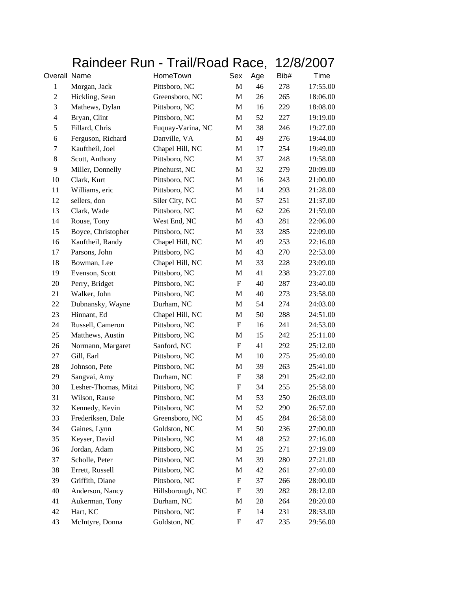|                | Raindeer Run - Trail/Road Race, |                   |                           | 12/8/2007 |      |          |
|----------------|---------------------------------|-------------------|---------------------------|-----------|------|----------|
| Overall Name   |                                 | HomeTown          | Sex                       | Age       | Bib# | Time     |
| $\mathbf{1}$   | Morgan, Jack                    | Pittsboro, NC     | $\mathbf M$               | 46        | 278  | 17:55.00 |
| $\mathbf{2}$   | Hickling, Sean                  | Greensboro, NC    | M                         | 26        | 265  | 18:06.00 |
| 3              | Mathews, Dylan                  | Pittsboro, NC     | M                         | 16        | 229  | 18:08.00 |
| $\overline{4}$ | Bryan, Clint                    | Pittsboro, NC     | M                         | 52        | 227  | 19:19.00 |
| 5              | Fillard, Chris                  | Fuquay-Varina, NC | M                         | 38        | 246  | 19:27.00 |
| 6              | Ferguson, Richard               | Danville, VA      | M                         | 49        | 276  | 19:44.00 |
| 7              | Kauftheil, Joel                 | Chapel Hill, NC   | $\mathbf M$               | 17        | 254  | 19:49.00 |
| $8\,$          | Scott, Anthony                  | Pittsboro, NC     | M                         | 37        | 248  | 19:58.00 |
| 9              | Miller, Donnelly                | Pinehurst, NC     | M                         | 32        | 279  | 20:09.00 |
| 10             | Clark, Kurt                     | Pittsboro, NC     | M                         | 16        | 243  | 21:00.00 |
| 11             | Williams, eric                  | Pittsboro, NC     | M                         | 14        | 293  | 21:28.00 |
| 12             | sellers, don                    | Siler City, NC    | M                         | 57        | 251  | 21:37.00 |
| 13             | Clark, Wade                     | Pittsboro, NC     | $\mathbf M$               | 62        | 226  | 21:59.00 |
| 14             | Rouse, Tony                     | West End, NC      | M                         | 43        | 281  | 22:06.00 |
| 15             | Boyce, Christopher              | Pittsboro, NC     | M                         | 33        | 285  | 22:09.00 |
| 16             | Kauftheil, Randy                | Chapel Hill, NC   | M                         | 49        | 253  | 22:16.00 |
| 17             | Parsons, John                   | Pittsboro, NC     | M                         | 43        | 270  | 22:53.00 |
| 18             | Bowman, Lee                     | Chapel Hill, NC   | M                         | 33        | 228  | 23:09.00 |
| 19             | Evenson, Scott                  | Pittsboro, NC     | $\mathbf M$               | 41        | 238  | 23:27.00 |
| 20             | Perry, Bridget                  | Pittsboro, NC     | $\boldsymbol{\mathrm{F}}$ | 40        | 287  | 23:40.00 |
| 21             | Walker, John                    | Pittsboro, NC     | M                         | 40        | 273  | 23:58.00 |
| 22             | Dubnansky, Wayne                | Durham, NC        | M                         | 54        | 274  | 24:03.00 |
| 23             | Hinnant, Ed                     | Chapel Hill, NC   | M                         | 50        | 288  | 24:51.00 |
| 24             | Russell, Cameron                | Pittsboro, NC     | F                         | 16        | 241  | 24:53.00 |
| 25             | Matthews, Austin                | Pittsboro, NC     | M                         | 15        | 242  | 25:11.00 |
| 26             | Normann, Margaret               | Sanford, NC       | $\boldsymbol{\mathrm{F}}$ | 41        | 292  | 25:12.00 |
| 27             | Gill, Earl                      | Pittsboro, NC     | M                         | 10        | 275  | 25:40.00 |
| 28             | Johnson, Pete                   | Pittsboro, NC     | M                         | 39        | 263  | 25:41.00 |
| 29             | Sangvai, Amy                    | Durham, NC        | $\boldsymbol{\mathrm{F}}$ | 38        | 291  | 25:42.00 |
| 30             | Lesher-Thomas, Mitzi            | Pittsboro, NC     | $\mathbf{F}$              | 34        | 255  | 25:58.00 |
| 31             | Wilson, Rause                   | Pittsboro, NC     | M                         | 53        | 250  | 26:03.00 |
| 32             | Kennedy, Kevin                  | Pittsboro, NC     | $\mathbf M$               | 52        | 290  | 26:57.00 |
| 33             | Frederiksen, Dale               | Greensboro, NC    | M                         | 45        | 284  | 26:58.00 |
| 34             | Gaines, Lynn                    | Goldston, NC      | M                         | 50        | 236  | 27:00.00 |
| 35             | Keyser, David                   | Pittsboro, NC     | $\mathbf M$               | 48        | 252  | 27:16.00 |
| 36             | Jordan, Adam                    | Pittsboro, NC     | M                         | 25        | 271  | 27:19.00 |
| 37             | Scholle, Peter                  | Pittsboro, NC     | M                         | 39        | 280  | 27:21.00 |
| 38             | Errett, Russell                 | Pittsboro, NC     | M                         | 42        | 261  | 27:40.00 |
| 39             | Griffith, Diane                 | Pittsboro, NC     | $\boldsymbol{\mathrm{F}}$ | 37        | 266  | 28:00.00 |
| 40             | Anderson, Nancy                 | Hillsborough, NC  | $\mathbf F$               | 39        | 282  | 28:12.00 |
| 41             | Aukerman, Tony                  | Durham, NC        | M                         | 28        | 264  | 28:20.00 |
| 42             | Hart, KC                        | Pittsboro, NC     | $\boldsymbol{\mathrm{F}}$ | 14        | 231  | 28:33.00 |
| 43             | McIntyre, Donna                 | Goldston, NC      | $\boldsymbol{\mathrm{F}}$ | 47        | 235  | 29:56.00 |